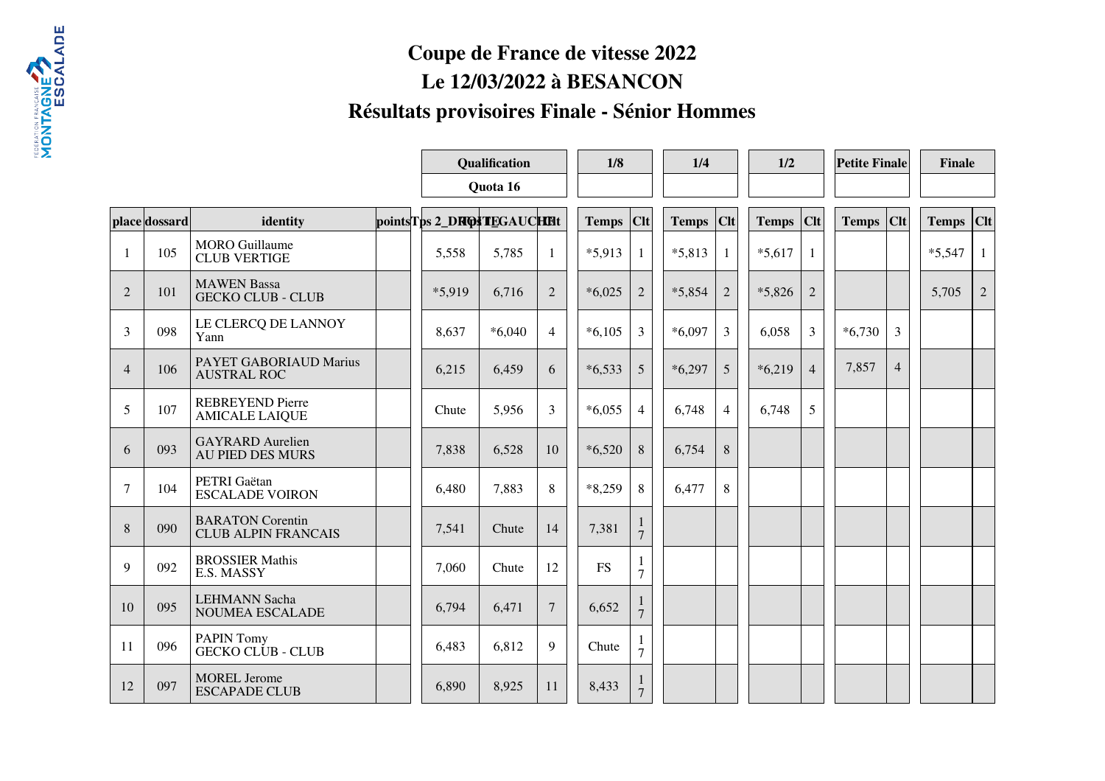## **Coupe de France de vitesse 2022 Le 12/03/2022 à BESANCON Résultats provisoires Finale - Sénior Hommes**

|                |               |                                                       |          | Qualification               |          | 1/8             |           | 1/4                            |              | 1/2            |              | <b>Petite Finale</b> |              | Finale         |           |                |
|----------------|---------------|-------------------------------------------------------|----------|-----------------------------|----------|-----------------|-----------|--------------------------------|--------------|----------------|--------------|----------------------|--------------|----------------|-----------|----------------|
|                |               |                                                       | Quota 16 |                             |          |                 |           |                                |              |                |              |                      |              |                |           |                |
|                | place dossard | identity                                              |          | points Tps 2_DROSTEGAUCHERt |          |                 | Temps Clt |                                | <b>Temps</b> | Clt            | <b>Temps</b> | $ $ Clt              | <b>Temps</b> | $ $ CIt        | Temps Clt |                |
| -1             | 105           | <b>MORO</b> Guillaume<br><b>CLUB VERTIGE</b>          |          | 5,558                       | 5,785    | 1               | $*5,913$  | 1                              | $*5,813$     | 1              | $*5,617$     | $\mathbf{1}$         |              |                | $*5,547$  | 1              |
| $\overline{2}$ | 101           | <b>MAWEN</b> Bassa<br><b>GECKO CLUB - CLUB</b>        |          | *5,919                      | 6,716    | $\overline{2}$  | $*6,025$  | $\overline{2}$                 | $*5,854$     | $\overline{2}$ | $*5,826$     | $\overline{2}$       |              |                | 5,705     | $\overline{2}$ |
| 3              | 098           | LE CLERCQ DE LANNOY<br>Yann                           |          | 8,637                       | $*6,040$ | $\overline{4}$  | $*6,105$  | 3                              | $*6,097$     | 3              | 6,058        | $\overline{3}$       | $*6,730$     | 3              |           |                |
| $\overline{4}$ | 106           | PAYET GABORIAUD Marius<br><b>AUSTRAL ROC</b>          |          | 6,215                       | 6,459    | 6               | $*6,533$  | 5                              | $*6,297$     | 5              | $*6,219$     | $\overline{4}$       | 7,857        | $\overline{4}$ |           |                |
| 5              | 107           | <b>REBREYEND Pierre</b><br><b>AMICALE LAIQUE</b>      |          | Chute                       | 5,956    | $\overline{3}$  | $*6,055$  | $\overline{4}$                 | 6,748        | $\overline{4}$ | 6,748        | 5                    |              |                |           |                |
| 6              | 093           | <b>GAYRARD</b> Aurelien<br><b>AU PIED DES MURS</b>    |          | 7,838                       | 6,528    | 10              | $*6,520$  | 8                              | 6,754        | 8              |              |                      |              |                |           |                |
| $\overline{7}$ | 104           | PETRI Gaëtan<br><b>ESCALADE VOIRON</b>                |          | 6,480                       | 7,883    | 8               | $*8,259$  | 8                              | 6,477        | 8              |              |                      |              |                |           |                |
| 8              | 090           | <b>BARATON</b> Corentin<br><b>CLUB ALPIN FRANCAIS</b> |          | 7,541                       | Chute    | 14              | 7,381     | $\overline{7}$                 |              |                |              |                      |              |                |           |                |
| 9              | 092           | <b>BROSSIER Mathis</b><br>E.S. MASSY                  |          | 7,060                       | Chute    | 12              | <b>FS</b> | 1<br>7                         |              |                |              |                      |              |                |           |                |
| 10             | 095           | <b>LEHMANN Sacha</b><br>NOUMEA ESCALADE               |          | 6,794                       | 6,471    | $7\overline{ }$ | 6,652     | $\tau$                         |              |                |              |                      |              |                |           |                |
| 11             | 096           | <b>PAPIN Tomy</b><br><b>GECKO CLUB - CLUB</b>         |          | 6,483                       | 6,812    | 9               | Chute     | $\overline{7}$                 |              |                |              |                      |              |                |           |                |
| 12             | 097           | <b>MOREL Jerome</b><br><b>ESCAPADE CLUB</b>           |          | 6,890                       | 8,925    | 11              | 8,433     | $\mathbf{I}$<br>$\overline{7}$ |              |                |              |                      |              |                |           |                |